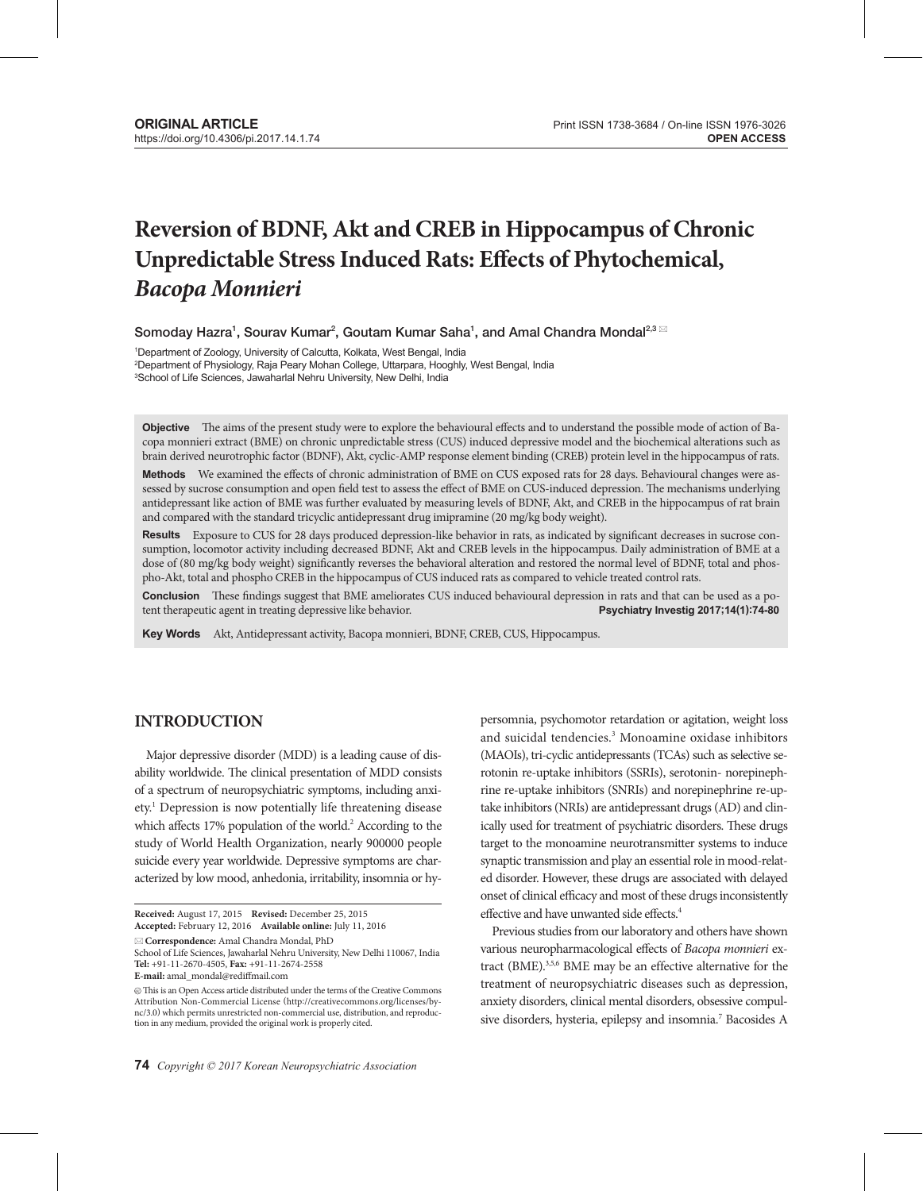# **Reversion of BDNF, Akt and CREB in Hippocampus of Chronic Unpredictable Stress Induced Rats: Effects of Phytochemical,**  *Bacopa Monnieri*

Somoday Hazra $^1$ , Sourav Kumar $^2$ , Goutam Kumar Saha $^1$ , and Amal Chandra Mondal $^{2,3}$   $^{\boxtimes}$ 

1 Department of Zoology, University of Calcutta, Kolkata, West Bengal, India 2 Department of Physiology, Raja Peary Mohan College, Uttarpara, Hooghly, West Bengal, India 3 School of Life Sciences, Jawaharlal Nehru University, New Delhi, India

**Objective** The aims of the present study were to explore the behavioural effects and to understand the possible mode of action of Bacopa monnieri extract (BME) on chronic unpredictable stress (CUS) induced depressive model and the biochemical alterations such as brain derived neurotrophic factor (BDNF), Akt, cyclic-AMP response element binding (CREB) protein level in the hippocampus of rats.

Methods We examined the effects of chronic administration of BME on CUS exposed rats for 28 days. Behavioural changes were assessed by sucrose consumption and open field test to assess the effect of BME on CUS-induced depression. The mechanisms underlying antidepressant like action of BME was further evaluated by measuring levels of BDNF, Akt, and CREB in the hippocampus of rat brain and compared with the standard tricyclic antidepressant drug imipramine (20 mg/kg body weight).

**Results** Exposure to CUS for 28 days produced depression-like behavior in rats, as indicated by significant decreases in sucrose consumption, locomotor activity including decreased BDNF, Akt and CREB levels in the hippocampus. Daily administration of BME at a dose of (80 mg/kg body weight) significantly reverses the behavioral alteration and restored the normal level of BDNF, total and phospho-Akt, total and phospho CREB in the hippocampus of CUS induced rats as compared to vehicle treated control rats.

**Conclusion** These findings suggest that BME ameliorates CUS induced behavioural depression in rats and that can be used as a potent therapeutic agent in treating depressive like behavior. **Psychiatry Investig 2017;14(1):74-80**

**Key Words** Akt, Antidepressant activity, Bacopa monnieri, BDNF, CREB, CUS, Hippocampus.

# **INTRODUCTION**

Major depressive disorder (MDD) is a leading cause of disability worldwide. The clinical presentation of MDD consists of a spectrum of neuropsychiatric symptoms, including anxiety.<sup>1</sup> Depression is now potentially life threatening disease which affects 17% population of the world.<sup>2</sup> According to the study of World Health Organization, nearly 900000 people suicide every year worldwide. Depressive symptoms are characterized by low mood, anhedonia, irritability, insomnia or hy-

**Correspondence:** Amal Chandra Mondal, PhD

persomnia, psychomotor retardation or agitation, weight loss and suicidal tendencies.3 Monoamine oxidase inhibitors (MAOIs), tri-cyclic antidepressants (TCAs) such as selective serotonin re-uptake inhibitors (SSRIs), serotonin- norepinephrine re-uptake inhibitors (SNRIs) and norepinephrine re-uptake inhibitors (NRIs) are antidepressant drugs (AD) and clinically used for treatment of psychiatric disorders. These drugs target to the monoamine neurotransmitter systems to induce synaptic transmission and play an essential role in mood-related disorder. However, these drugs are associated with delayed onset of clinical efficacy and most of these drugs inconsistently effective and have unwanted side effects.4

Previous studies from our laboratory and others have shown various neuropharmacological effects of *Bacopa monnieri* extract (BME).3,5,6 BME may be an effective alternative for the treatment of neuropsychiatric diseases such as depression, anxiety disorders, clinical mental disorders, obsessive compulsive disorders, hysteria, epilepsy and insomnia.<sup>7</sup> Bacosides A

**Received:** August 17, 2015 **Revised:** December 25, 2015 **Accepted:** February 12, 2016 **Available online:** July 11, 2016

School of Life Sciences, Jawaharlal Nehru University, New Delhi 110067, India **Tel:** +91-11-2670-4505, **Fax:** +91-11-2674-2558 **E-mail:** amal\_mondal@rediffmail.com

 $\circledcirc$  This is an Open Access article distributed under the terms of the Creative Commons Attribution Non-Commercial License (http://creativecommons.org/licenses/bync/3.0) which permits unrestricted non-commercial use, distribution, and reproduction in any medium, provided the original work is properly cited.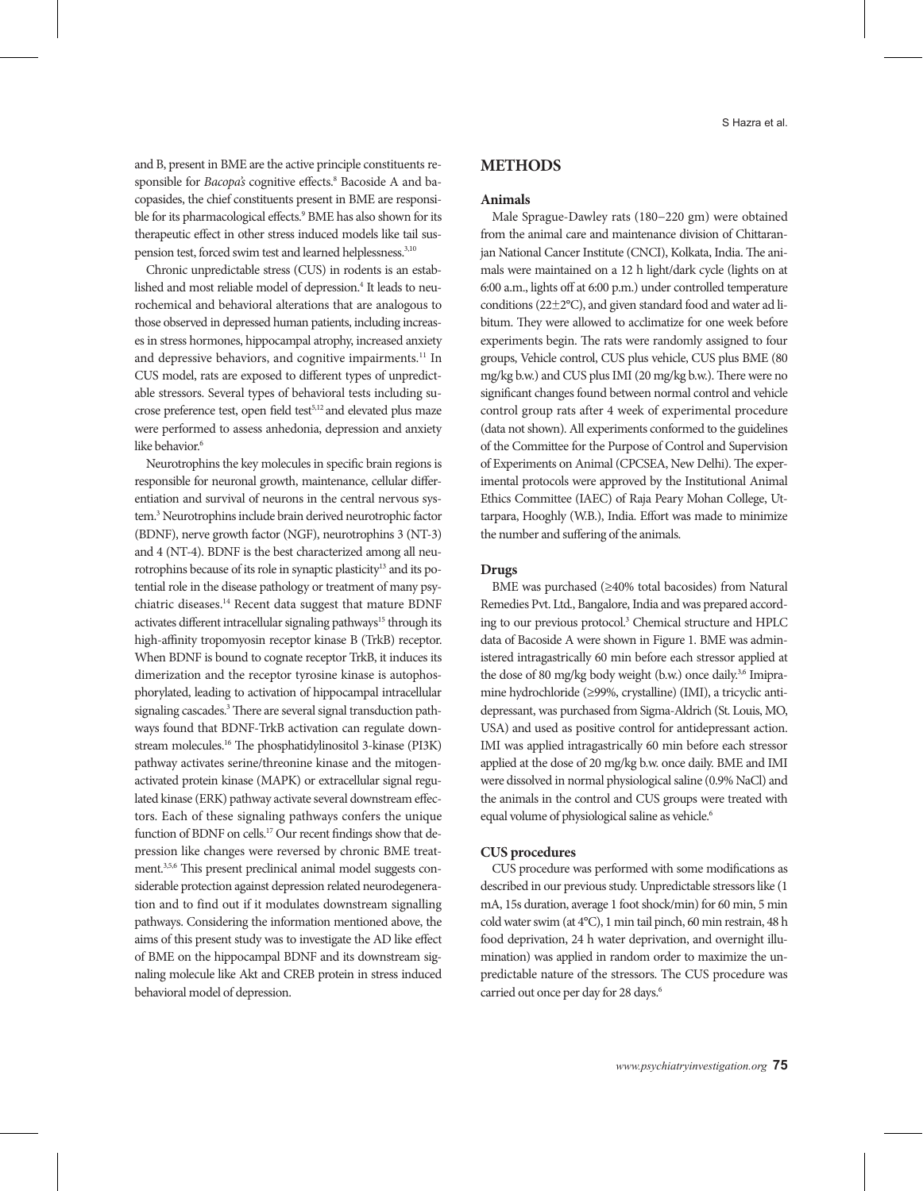and B, present in BME are the active principle constituents responsible for *Bacopa's* cognitive effects.<sup>8</sup> Bacoside A and bacopasides, the chief constituents present in BME are responsible for its pharmacological effects.9 BME has also shown for its therapeutic effect in other stress induced models like tail suspension test, forced swim test and learned helplessness.<sup>3,10</sup>

Chronic unpredictable stress (CUS) in rodents is an established and most reliable model of depression.<sup>4</sup> It leads to neurochemical and behavioral alterations that are analogous to those observed in depressed human patients, including increases in stress hormones, hippocampal atrophy, increased anxiety and depressive behaviors, and cognitive impairments.<sup>11</sup> In CUS model, rats are exposed to different types of unpredictable stressors. Several types of behavioral tests including sucrose preference test, open field test<sup>5,12</sup> and elevated plus maze were performed to assess anhedonia, depression and anxiety like behavior.<sup>6</sup>

Neurotrophins the key molecules in specific brain regions is responsible for neuronal growth, maintenance, cellular differentiation and survival of neurons in the central nervous system.<sup>3</sup> Neurotrophins include brain derived neurotrophic factor (BDNF), nerve growth factor (NGF), neurotrophins 3 (NT-3) and 4 (NT-4). BDNF is the best characterized among all neurotrophins because of its role in synaptic plasticity<sup>13</sup> and its potential role in the disease pathology or treatment of many psychiatric diseases.14 Recent data suggest that mature BDNF activates different intracellular signaling pathways<sup>15</sup> through its high-affinity tropomyosin receptor kinase B (TrkB) receptor. When BDNF is bound to cognate receptor TrkB, it induces its dimerization and the receptor tyrosine kinase is autophosphorylated, leading to activation of hippocampal intracellular signaling cascades.<sup>3</sup> There are several signal transduction pathways found that BDNF-TrkB activation can regulate downstream molecules.16 The phosphatidylinositol 3-kinase (PI3K) pathway activates serine/threonine kinase and the mitogenactivated protein kinase (MAPK) or extracellular signal regulated kinase (ERK) pathway activate several downstream effectors. Each of these signaling pathways confers the unique function of BDNF on cells.<sup>17</sup> Our recent findings show that depression like changes were reversed by chronic BME treatment.3,5,6 This present preclinical animal model suggests considerable protection against depression related neurodegeneration and to find out if it modulates downstream signalling pathways. Considering the information mentioned above, the aims of this present study was to investigate the AD like effect of BME on the hippocampal BDNF and its downstream signaling molecule like Akt and CREB protein in stress induced behavioral model of depression.

## **METHODS**

#### **Animals**

Male Sprague-Dawley rats (180−220 gm) were obtained from the animal care and maintenance division of Chittaranjan National Cancer Institute (CNCI), Kolkata, India. The animals were maintained on a 12 h light/dark cycle (lights on at 6:00 a.m., lights off at 6:00 p.m.) under controlled temperature conditions (22±2°C), and given standard food and water ad libitum. They were allowed to acclimatize for one week before experiments begin. The rats were randomly assigned to four groups, Vehicle control, CUS plus vehicle, CUS plus BME (80 mg/kg b.w.) and CUS plus IMI (20 mg/kg b.w.). There were no significant changes found between normal control and vehicle control group rats after 4 week of experimental procedure (data not shown). All experiments conformed to the guidelines of the Committee for the Purpose of Control and Supervision of Experiments on Animal (CPCSEA, New Delhi). The experimental protocols were approved by the Institutional Animal Ethics Committee (IAEC) of Raja Peary Mohan College, Uttarpara, Hooghly (W.B.), India. Effort was made to minimize the number and suffering of the animals.

## **Drugs**

BME was purchased (≥40% total bacosides) from Natural Remedies Pvt. Ltd., Bangalore, India and was prepared according to our previous protocol.<sup>3</sup> Chemical structure and HPLC data of Bacoside A were shown in Figure 1. BME was administered intragastrically 60 min before each stressor applied at the dose of 80 mg/kg body weight (b.w.) once daily.<sup>3,6</sup> Imipramine hydrochloride (≥99%, crystalline) (IMI), a tricyclic antidepressant, was purchased from Sigma-Aldrich (St. Louis, MO, USA) and used as positive control for antidepressant action. IMI was applied intragastrically 60 min before each stressor applied at the dose of 20 mg/kg b.w. once daily. BME and IMI were dissolved in normal physiological saline (0.9% NaCl) and the animals in the control and CUS groups were treated with equal volume of physiological saline as vehicle.<sup>6</sup>

## **CUS procedures**

CUS procedure was performed with some modifications as described in our previous study. Unpredictable stressors like (1 mA, 15s duration, average 1 foot shock/min) for 60 min, 5 min cold water swim (at 4°C), 1 min tail pinch, 60 min restrain, 48 h food deprivation, 24 h water deprivation, and overnight illumination) was applied in random order to maximize the unpredictable nature of the stressors. The CUS procedure was carried out once per day for 28 days.<sup>6</sup>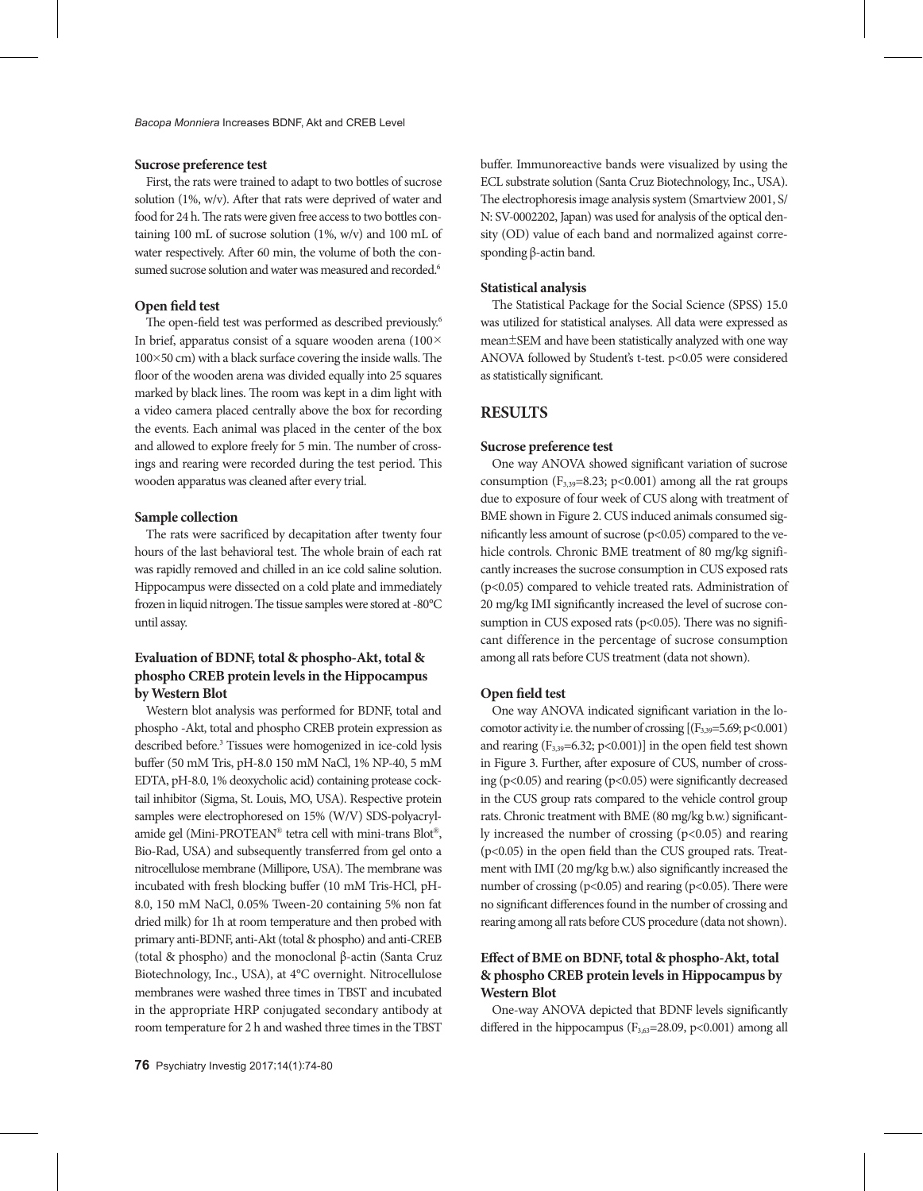## **Sucrose preference test**

First, the rats were trained to adapt to two bottles of sucrose solution (1%, w/v). After that rats were deprived of water and food for 24 h. The rats were given free access to two bottles containing 100 mL of sucrose solution (1%, w/v) and 100 mL of water respectively. After 60 min, the volume of both the consumed sucrose solution and water was measured and recorded.<sup>6</sup>

## **Open field test**

The open-field test was performed as described previously.<sup>6</sup> In brief, apparatus consist of a square wooden arena (100×  $100\times50$  cm) with a black surface covering the inside walls. The floor of the wooden arena was divided equally into 25 squares marked by black lines. The room was kept in a dim light with a video camera placed centrally above the box for recording the events. Each animal was placed in the center of the box and allowed to explore freely for 5 min. The number of crossings and rearing were recorded during the test period. This wooden apparatus was cleaned after every trial.

## **Sample collection**

The rats were sacrificed by decapitation after twenty four hours of the last behavioral test. The whole brain of each rat was rapidly removed and chilled in an ice cold saline solution. Hippocampus were dissected on a cold plate and immediately frozen in liquid nitrogen. The tissue samples were stored at -80°C until assay.

# **Evaluation of BDNF, total & phospho-Akt, total & phospho CREB protein levels in the Hippocampus by Western Blot**

Western blot analysis was performed for BDNF, total and phospho -Akt, total and phospho CREB protein expression as described before.3 Tissues were homogenized in ice-cold lysis buffer (50 mM Tris, pH-8.0 150 mM NaCl, 1% NP-40, 5 mM EDTA, pH-8.0, 1% deoxycholic acid) containing protease cocktail inhibitor (Sigma, St. Louis, MO, USA). Respective protein samples were electrophoresed on 15% (W/V) SDS-polyacrylamide gel (Mini-PROTEAN® tetra cell with mini-trans Blot®, Bio-Rad, USA) and subsequently transferred from gel onto a nitrocellulose membrane (Millipore, USA). The membrane was incubated with fresh blocking buffer (10 mM Tris-HCl, pH-8.0, 150 mM NaCl, 0.05% Tween-20 containing 5% non fat dried milk) for 1h at room temperature and then probed with primary anti-BDNF, anti-Akt (total & phospho) and anti-CREB (total & phospho) and the monoclonal β-actin (Santa Cruz Biotechnology, Inc., USA), at 4°C overnight. Nitrocellulose membranes were washed three times in TBST and incubated in the appropriate HRP conjugated secondary antibody at room temperature for 2 h and washed three times in the TBST

buffer. Immunoreactive bands were visualized by using the ECL substrate solution (Santa Cruz Biotechnology, Inc., USA). The electrophoresis image analysis system (Smartview 2001, S/ N: SV-0002202, Japan) was used for analysis of the optical density (OD) value of each band and normalized against corresponding β-actin band.

## **Statistical analysis**

The Statistical Package for the Social Science (SPSS) 15.0 was utilized for statistical analyses. All data were expressed as mean±SEM and have been statistically analyzed with one way ANOVA followed by Student's t-test. p<0.05 were considered as statistically significant.

## **RESULTS**

## **Sucrose preference test**

One way ANOVA showed significant variation of sucrose consumption  $(F_{3,39}=8.23; p<0.001)$  among all the rat groups due to exposure of four week of CUS along with treatment of BME shown in Figure 2. CUS induced animals consumed significantly less amount of sucrose  $(p<0.05)$  compared to the vehicle controls. Chronic BME treatment of 80 mg/kg significantly increases the sucrose consumption in CUS exposed rats (p<0.05) compared to vehicle treated rats. Administration of 20 mg/kg IMI significantly increased the level of sucrose consumption in CUS exposed rats ( $p$ <0.05). There was no significant difference in the percentage of sucrose consumption among all rats before CUS treatment (data not shown).

## **Open field test**

One way ANOVA indicated significant variation in the locomotor activity i.e. the number of crossing  $[(F_{3,39}=5.69; p<0.001)$ and rearing  $(F_{3,39}=6.32; p<0.001)$ ] in the open field test shown in Figure 3. Further, after exposure of CUS, number of crossing ( $p<0.05$ ) and rearing ( $p<0.05$ ) were significantly decreased in the CUS group rats compared to the vehicle control group rats. Chronic treatment with BME (80 mg/kg b.w.) significantly increased the number of crossing (p<0.05) and rearing (p<0.05) in the open field than the CUS grouped rats. Treatment with IMI (20 mg/kg b.w.) also significantly increased the number of crossing ( $p<0.05$ ) and rearing ( $p<0.05$ ). There were no significant differences found in the number of crossing and rearing among all rats before CUS procedure (data not shown).

# **Effect of BME on BDNF, total & phospho-Akt, total & phospho CREB protein levels in Hippocampus by Western Blot**

One-way ANOVA depicted that BDNF levels significantly differed in the hippocampus ( $F_{3,63}$ =28.09, p<0.001) among all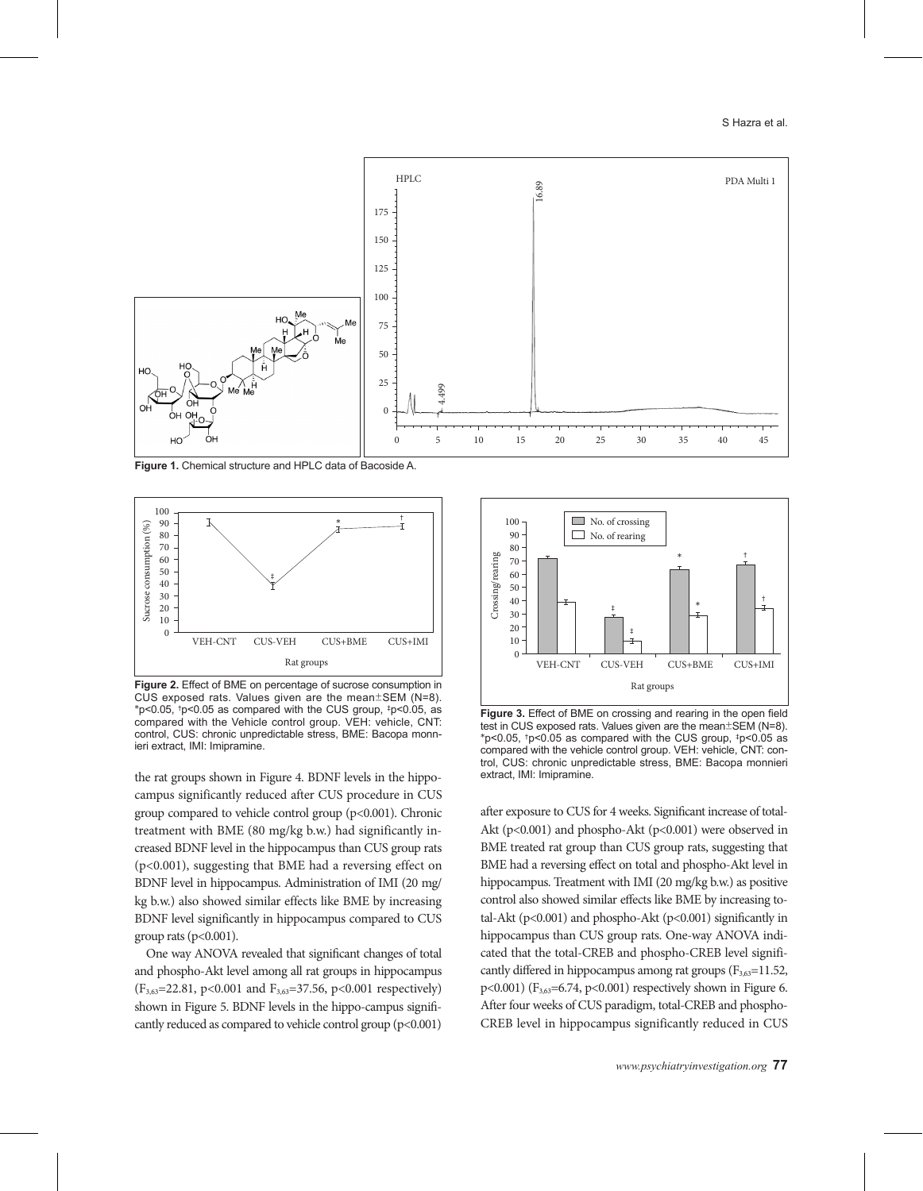

**Figure 1.** Chemical structure and HPLC data of Bacoside A.



**Figure 2.** Effect of BME on percentage of sucrose consumption in CUS exposed rats. Values given are the mean±SEM (N=8).  $*p<0.05$ ,  $tp<0.05$  as compared with the CUS group,  $tp<0.05$ , as compared with the Vehicle control group. VEH: vehicle, CNT: control, CUS: chronic unpredictable stress, BME: Bacopa monnieri extract, IMI: Imipramine.

the rat groups shown in Figure 4. BDNF levels in the hippocampus significantly reduced after CUS procedure in CUS group compared to vehicle control group (p<0.001). Chronic treatment with BME (80 mg/kg b.w.) had significantly increased BDNF level in the hippocampus than CUS group rats (p<0.001), suggesting that BME had a reversing effect on BDNF level in hippocampus. Administration of IMI (20 mg/ kg b.w.) also showed similar effects like BME by increasing BDNF level significantly in hippocampus compared to CUS group rats ( $p<0.001$ ).

One way ANOVA revealed that significant changes of total and phospho-Akt level among all rat groups in hippocampus  $(F_{3,63}=22.81, p<0.001$  and  $F_{3,63}=37.56, p<0.001$  respectively) shown in Figure 5. BDNF levels in the hippo-campus significantly reduced as compared to vehicle control group (p<0.001)



**Figure 3.** Effect of BME on crossing and rearing in the open field test in CUS exposed rats. Values given are the mean±SEM (N=8). \*p<0.05, †p<0.05 as compared with the CUS group, ‡p<0.05 as compared with the vehicle control group. VEH: vehicle, CNT: control, CUS: chronic unpredictable stress, BME: Bacopa monnieri extract, IMI: Imipramine.

after exposure to CUS for 4 weeks. Significant increase of total-Akt (p<0.001) and phospho-Akt (p<0.001) were observed in BME treated rat group than CUS group rats, suggesting that BME had a reversing effect on total and phospho-Akt level in hippocampus. Treatment with IMI (20 mg/kg b.w.) as positive control also showed similar effects like BME by increasing total-Akt ( $p<0.001$ ) and phospho-Akt ( $p<0.001$ ) significantly in hippocampus than CUS group rats. One-way ANOVA indicated that the total-CREB and phospho-CREB level significantly differed in hippocampus among rat groups  $(F_{3,63}=11.52)$ , p<0.001) ( $F_{3,63}$ =6.74, p<0.001) respectively shown in Figure 6. After four weeks of CUS paradigm, total-CREB and phospho-Example 1.1 The UNIC CREAT CREAT CREAT CREAT CREAT A After form weeks of CUS parameter and phospho-CREB level in hippocampus significantly differed on the series of CR (1900) and phospho-care in the open field best in CUS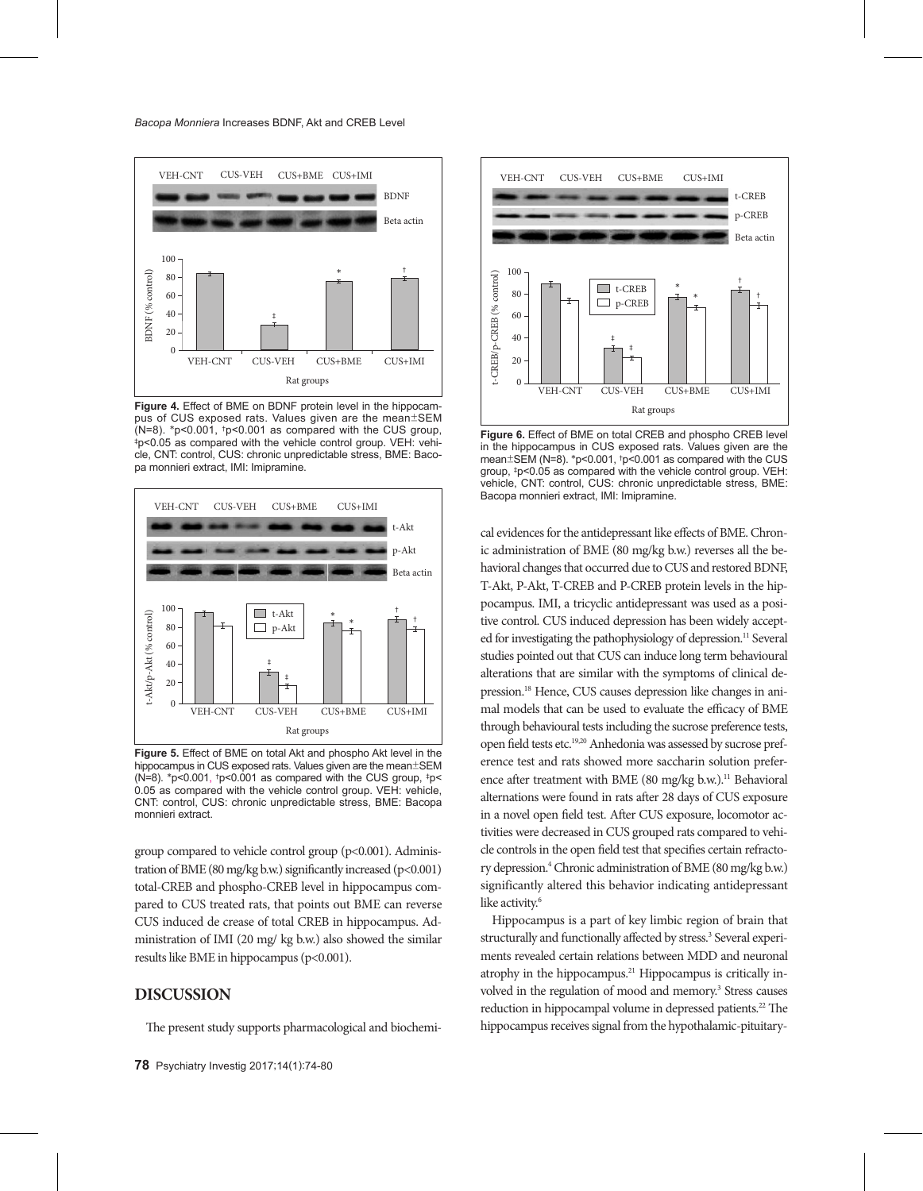

**Figure 4.** Effect of BME on BDNF protein level in the hippocampus of CUS exposed rats. Values given are the mean±SEM (N=8). \*p<0.001, \*p<0.001 as compared with the CUS group, (N=8). \*p<0.001, †p<0.001 as compared with the CUS group, ‡p<0.05 as compared with the vehicle control group. VEH: vehicle, CNT: control, CUS: chronic unpredictable stress, BME: Bacopa monnieri extract, IMI: Imipramine.



**Figure 5.** Effect of BME on total Akt and phospho Akt level in the hippocampus in CUS exposed rats. Values given are the mean±SEM (N=8). \*p<0.001,  $tp<0.001$  as compared with the CUS group,  $tp<$ 0.05 as compared with the vehicle control group. VEH: vehicle, CNT: control, CUS: chronic unpredictable stress, BME: Bacopa monnieri extract.

group compared to vehicle control group (p<0.001). Administration of BME (80 mg/kg b.w.) significantly increased (p<0.001) total-CREB and phospho-CREB level in hippocampus compared to CUS treated rats, that points out BME can reverse CUS induced de crease of total CREB in hippocampus. Administration of IMI (20 mg/ kg b.w.) also showed the similar results like BME in hippocampus (p<0.001).

# **DISCUSSION**

The present study supports pharmacological and biochemi-



**Figure 6.** Effect of BME on total CREB and phospho CREB level in the hippocampus in CUS exposed rats. Values given are the mean±SEM (N=8). \*p<0.001, †p<0.001 as compared with the CUS group, ‡p<0.05 as compared with the vehicle control group. VEH: vehicle, CNT: control, CUS: chronic unpredictable stress, BME: Bacopa monnieri extract, IMI: Imipramine.

cal evidences for the antidepressant like effects of BME. Chronic administration of BME (80 mg/kg b.w.) reverses all the behavioral changes that occurred due to CUS and restored BDNF, T-Akt, P-Akt, T-CREB and P-CREB protein levels in the hippocampus. IMI, a tricyclic antidepressant was used as a positive control. CUS induced depression has been widely accepted for investigating the pathophysiology of depression.<sup>11</sup> Several studies pointed out that CUS can induce long term behavioural alterations that are similar with the symptoms of clinical depression.18 Hence, CUS causes depression like changes in animal models that can be used to evaluate the efficacy of BME through behavioural tests including the sucrose preference tests, open field tests etc.19,20 Anhedonia was assessed by sucrose preference test and rats showed more saccharin solution preference after treatment with BME (80 mg/kg b.w.).<sup>11</sup> Behavioral alternations were found in rats after 28 days of CUS exposure in a novel open field test. After CUS exposure, locomotor activities were decreased in CUS grouped rats compared to vehicle controls in the open field test that specifies certain refractory depression.4 Chronic administration of BME (80 mg/kg b.w.) significantly altered this behavior indicating antidepressant like activity.<sup>6</sup>

Hippocampus is a part of key limbic region of brain that structurally and functionally affected by stress.<sup>3</sup> Several experiments revealed certain relations between MDD and neuronal atrophy in the hippocampus.<sup>21</sup> Hippocampus is critically involved in the regulation of mood and memory.<sup>3</sup> Stress causes reduction in hippocampal volume in depressed patients.<sup>22</sup> The hippocampus receives signal from the hypothalamic-pituitary-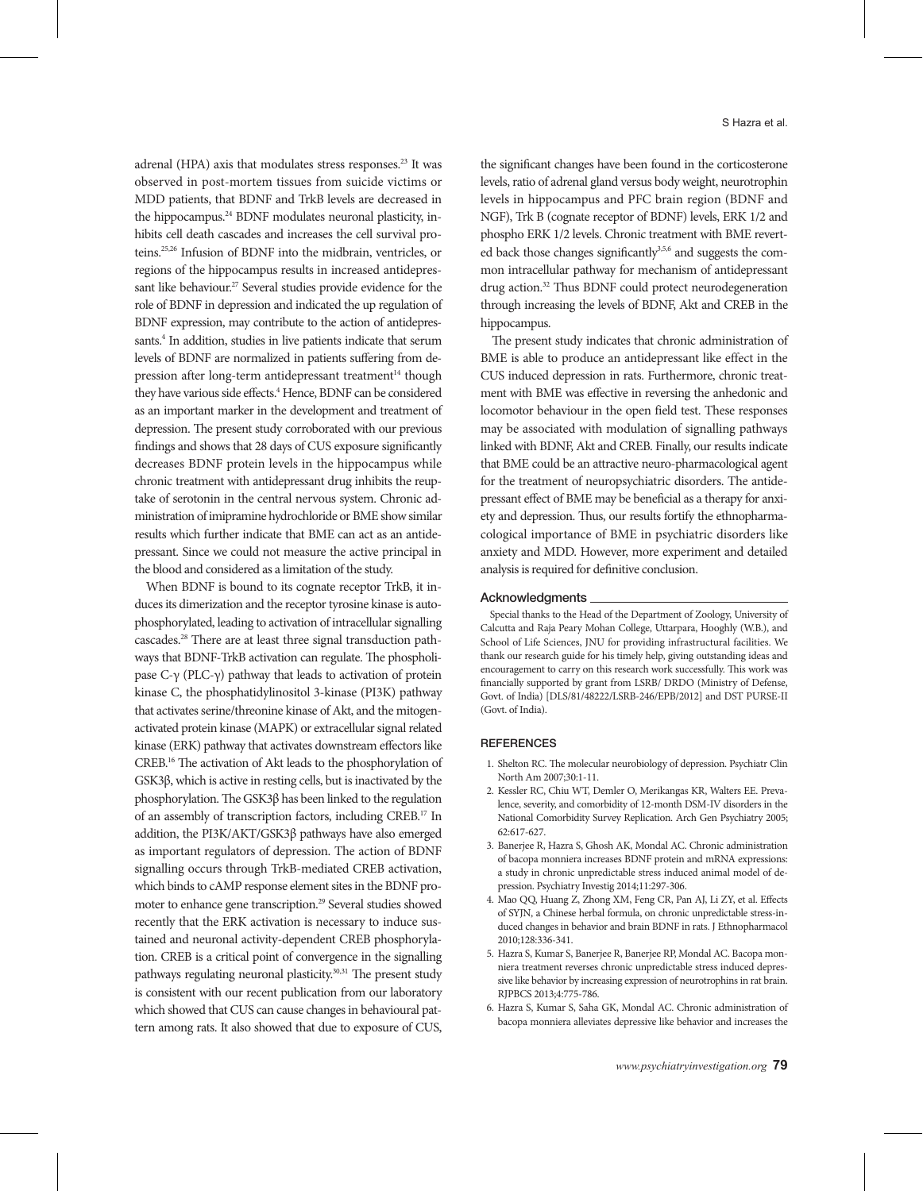adrenal (HPA) axis that modulates stress responses.<sup>23</sup> It was observed in post-mortem tissues from suicide victims or MDD patients, that BDNF and TrkB levels are decreased in the hippocampus.<sup>24</sup> BDNF modulates neuronal plasticity, inhibits cell death cascades and increases the cell survival proteins.25,26 Infusion of BDNF into the midbrain, ventricles, or regions of the hippocampus results in increased antidepressant like behaviour.<sup>27</sup> Several studies provide evidence for the role of BDNF in depression and indicated the up regulation of BDNF expression, may contribute to the action of antidepressants.<sup>4</sup> In addition, studies in live patients indicate that serum levels of BDNF are normalized in patients suffering from depression after long-term antidepressant treatment<sup>14</sup> though they have various side effects.<sup>4</sup> Hence, BDNF can be considered as an important marker in the development and treatment of depression. The present study corroborated with our previous findings and shows that 28 days of CUS exposure significantly decreases BDNF protein levels in the hippocampus while chronic treatment with antidepressant drug inhibits the reuptake of serotonin in the central nervous system. Chronic administration of imipramine hydrochloride or BME show similar results which further indicate that BME can act as an antidepressant. Since we could not measure the active principal in the blood and considered as a limitation of the study.

When BDNF is bound to its cognate receptor TrkB, it induces its dimerization and the receptor tyrosine kinase is autophosphorylated, leading to activation of intracellular signalling cascades.28 There are at least three signal transduction pathways that BDNF-TrkB activation can regulate. The phospholipase C-γ (PLC-γ) pathway that leads to activation of protein kinase C, the phosphatidylinositol 3-kinase (PI3K) pathway that activates serine/threonine kinase of Akt, and the mitogenactivated protein kinase (MAPK) or extracellular signal related kinase (ERK) pathway that activates downstream effectors like CREB.16 The activation of Akt leads to the phosphorylation of GSK3β, which is active in resting cells, but is inactivated by the phosphorylation. The GSK3β has been linked to the regulation of an assembly of transcription factors, including CREB.17 In addition, the PI3K/AKT/GSK3β pathways have also emerged as important regulators of depression. The action of BDNF signalling occurs through TrkB-mediated CREB activation, which binds to cAMP response element sites in the BDNF promoter to enhance gene transcription.<sup>29</sup> Several studies showed recently that the ERK activation is necessary to induce sustained and neuronal activity-dependent CREB phosphorylation. CREB is a critical point of convergence in the signalling pathways regulating neuronal plasticity.30,31 The present study is consistent with our recent publication from our laboratory which showed that CUS can cause changes in behavioural pattern among rats. It also showed that due to exposure of CUS,

the significant changes have been found in the corticosterone levels, ratio of adrenal gland versus body weight, neurotrophin levels in hippocampus and PFC brain region (BDNF and NGF), Trk B (cognate receptor of BDNF) levels, ERK 1/2 and phospho ERK 1/2 levels. Chronic treatment with BME reverted back those changes significantly<sup>3,5,6</sup> and suggests the common intracellular pathway for mechanism of antidepressant drug action.32 Thus BDNF could protect neurodegeneration through increasing the levels of BDNF, Akt and CREB in the hippocampus.

The present study indicates that chronic administration of BME is able to produce an antidepressant like effect in the CUS induced depression in rats. Furthermore, chronic treatment with BME was effective in reversing the anhedonic and locomotor behaviour in the open field test. These responses may be associated with modulation of signalling pathways linked with BDNF, Akt and CREB. Finally, our results indicate that BME could be an attractive neuro-pharmacological agent for the treatment of neuropsychiatric disorders. The antidepressant effect of BME may be beneficial as a therapy for anxiety and depression. Thus, our results fortify the ethnopharmacological importance of BME in psychiatric disorders like anxiety and MDD. However, more experiment and detailed analysis is required for definitive conclusion.

#### Acknowledgments

Special thanks to the Head of the Department of Zoology, University of Calcutta and Raja Peary Mohan College, Uttarpara, Hooghly (W.B.), and School of Life Sciences, JNU for providing infrastructural facilities. We thank our research guide for his timely help, giving outstanding ideas and encouragement to carry on this research work successfully. This work was financially supported by grant from LSRB/ DRDO (Ministry of Defense, Govt. of India) [DLS/81/48222/LSRB-246/EPB/2012] and DST PURSE-II (Govt. of India).

#### **REFERENCES**

- 1. Shelton RC. The molecular neurobiology of depression. Psychiatr Clin North Am 2007;30:1-11.
- 2. Kessler RC, Chiu WT, Demler O, Merikangas KR, Walters EE. Prevalence, severity, and comorbidity of 12-month DSM-IV disorders in the National Comorbidity Survey Replication. Arch Gen Psychiatry 2005; 62:617-627.
- 3. Banerjee R, Hazra S, Ghosh AK, Mondal AC. Chronic administration of bacopa monniera increases BDNF protein and mRNA expressions: a study in chronic unpredictable stress induced animal model of depression. Psychiatry Investig 2014;11:297-306.
- 4. Mao QQ, Huang Z, Zhong XM, Feng CR, Pan AJ, Li ZY, et al. Effects of SYJN, a Chinese herbal formula, on chronic unpredictable stress-induced changes in behavior and brain BDNF in rats. J Ethnopharmacol 2010;128:336-341.
- 5. Hazra S, Kumar S, Banerjee R, Banerjee RP, Mondal AC. Bacopa monniera treatment reverses chronic unpredictable stress induced depressive like behavior by increasing expression of neurotrophins in rat brain. RJPBCS 2013;4:775-786.
- 6. Hazra S, Kumar S, Saha GK, Mondal AC. Chronic administration of bacopa monniera alleviates depressive like behavior and increases the